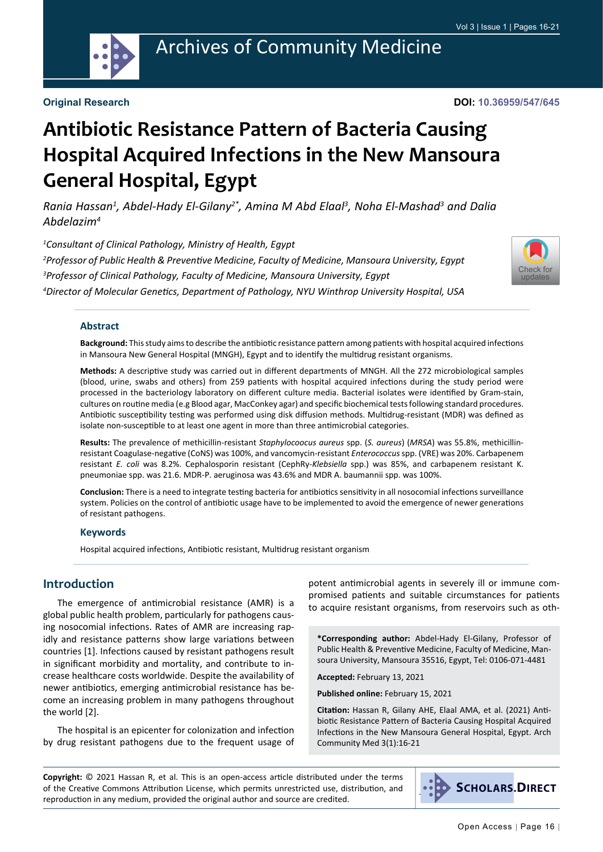

## Archives of Community Medicine

**Original Research**

**DOI: 10.36959/547/645**

# **Antibiotic Resistance Pattern of Bacteria Causing Hospital Acquired Infections in the New Mansoura General Hospital, Egypt**

*Rania Hassan1 , Abdel-Hady El-Gilany2\*, Amina M Abd Elaal3 , Noha El-Mashad3 and Dalia Abdelazim4*

 *Consultant of Clinical Pathology, Ministry of Health, Egypt Professor of Public Health & Preventive Medicine, Faculty of Medicine, Mansoura University, Egypt Professor of Clinical Pathology, Faculty of Medicine, Mansoura University, Egypt Director of Molecular Genetics, Department of Pathology, NYU Winthrop University Hospital, USA*



#### **Abstract**

**Background:** This study aims to describe the antibiotic resistance pattern among patients with hospital acquired infections in Mansoura New General Hospital (MNGH), Egypt and to identify the multidrug resistant organisms.

**Methods:** A descriptive study was carried out in different departments of MNGH. All the 272 microbiological samples (blood, urine, swabs and others) from 259 patients with hospital acquired infections during the study period were processed in the bacteriology laboratory on different culture media. Bacterial isolates were identified by Gram-stain, cultures on routine media (e.g Blood agar, MacConkey agar) and specific biochemical tests following standard procedures. Antibiotic susceptibility testing was performed using disk diffusion methods. Multidrug-resistant (MDR) was defined as isolate non-susceptible to at least one agent in more than three antimicrobial categories.

**Results:** The prevalence of methicillin-resistant *Staphylocoocus aureus* spp. (*S. aureus*) (*MRSA*) was 55.8%, methicillinresistant Coagulase-negative (CoNS) was 100%, and vancomycin-resistant *Enterococcus* spp. (VRE) was 20%. Carbapenem resistant *E. coli* was 8.2%. Cephalosporin resistant (CephRy-*Klebsiella* spp.) was 85%, and carbapenem resistant K. pneumoniae spp. was 21.6. MDR-P. aeruginosa was 43.6% and MDR A. baumannii spp. was 100%.

**Conclusion:** There is a need to integrate testing bacteria for antibiotics sensitivity in all nosocomial infections surveillance system. Policies on the control of antibiotic usage have to be implemented to avoid the emergence of newer generations of resistant pathogens.

#### **Keywords**

Hospital acquired infections, Antibiotic resistant, Multidrug resistant organism

#### **Introduction**

The emergence of antimicrobial resistance (AMR) is a global public health problem, particularly for pathogens causing nosocomial infections. Rates of AMR are increasing rapidly and resistance patterns show large variations between countries [1]. Infections caused by resistant pathogens result in significant morbidity and mortality, and contribute to increase healthcare costs worldwide. Despite the availability of newer antibiotics, emerging antimicrobial resistance has become an increasing problem in many pathogens throughout the world [2].

The hospital is an epicenter for colonization and infection by drug resistant pathogens due to the frequent usage of potent antimicrobial agents in severely ill or immune compromised patients and suitable circumstances for patients to acquire resistant organisms, from reservoirs such as oth-

**\*Corresponding author:** Abdel-Hady El-Gilany, Professor of Public Health & Preventive Medicine, Faculty of Medicine, Mansoura University, Mansoura 35516, Egypt, Tel: 0106-071-4481

**Accepted:** February 13, 2021

**Published online:** February 15, 2021

**Citation:** Hassan R, Gilany AHE, Elaal AMA, et al. (2021) Antibiotic Resistance Pattern of Bacteria Causing Hospital Acquired Infections in the New Mansoura General Hospital, Egypt. Arch Community Med 3(1):16-21

**Copyright:** © 2021 Hassan R, et al. This is an open-access article distributed under the terms of the Creative Commons Attribution License, which permits unrestricted use, distribution, and reproduction in any medium, provided the original author and source are credited.

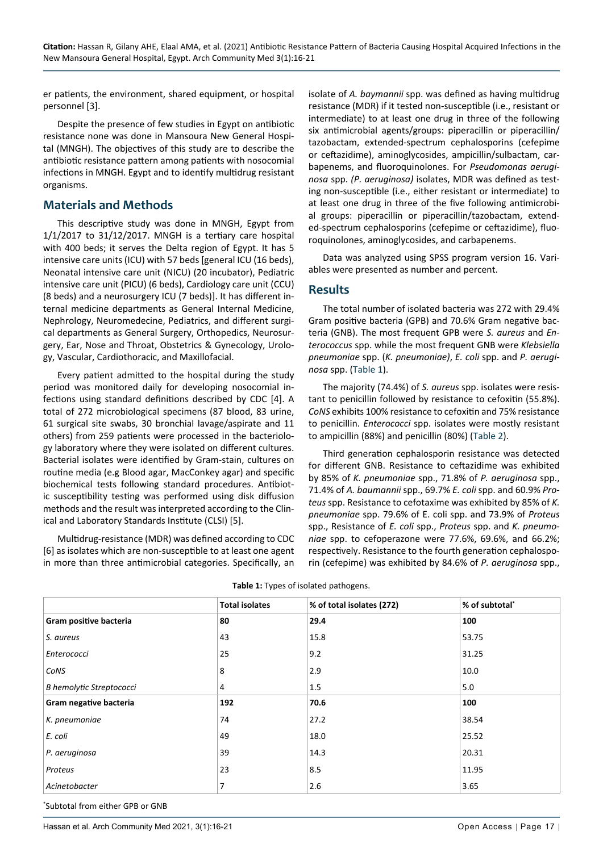er patients, the environment, shared equipment, or hospital personnel [3].

Despite the presence of few studies in Egypt on antibiotic resistance none was done in Mansoura New General Hospital (MNGH). The objectives of this study are to describe the antibiotic resistance pattern among patients with nosocomial infections in MNGH. Egypt and to identify multidrug resistant organisms.

#### **Materials and Methods**

This descriptive study was done in MNGH, Egypt from 1/1/2017 to 31/12/2017. MNGH is a tertiary care hospital with 400 beds; it serves the Delta region of Egypt. It has 5 intensive care units (ICU) with 57 beds [general ICU (16 beds), Neonatal intensive care unit (NICU) (20 incubator), Pediatric intensive care unit (PICU) (6 beds), Cardiology care unit (CCU) (8 beds) and a neurosurgery ICU (7 beds)]. It has different internal medicine departments as General Internal Medicine, Nephrology, Neuromedecine, Pediatrics, and different surgical departments as General Surgery, Orthopedics, Neurosurgery, Ear, Nose and Throat, Obstetrics & Gynecology, Urology, Vascular, Cardiothoracic, and Maxillofacial.

Every patient admitted to the hospital during the study period was monitored daily for developing nosocomial infections using standard definitions described by CDC [4]. A total of 272 microbiological specimens (87 blood, 83 urine, 61 surgical site swabs, 30 bronchial lavage/aspirate and 11 others) from 259 patients were processed in the bacteriology laboratory where they were isolated on different cultures. Bacterial isolates were identified by Gram-stain, cultures on routine media (e.g Blood agar, MacConkey agar) and specific biochemical tests following standard procedures. Antibiotic susceptibility testing was performed using disk diffusion methods and the result was interpreted according to the Clinical and Laboratory Standards Institute (CLSI) [5].

Multidrug-resistance (MDR) was defined according to CDC [6] as isolates which are non-susceptible to at least one agent in more than three antimicrobial categories. Specifically, an isolate of *A. baymannii* spp. was defined as having multidrug resistance (MDR) if it tested non-susceptible (i.e., resistant or intermediate) to at least one drug in three of the following six antimicrobial agents/groups: piperacillin or piperacillin/ tazobactam, extended-spectrum cephalosporins (cefepime or ceftazidime), aminoglycosides, ampicillin/sulbactam, carbapenems, and fluoroquinolones. For *Pseudomonas aeruginosa* spp. *(P. aeruginosa)* isolates, MDR was defined as testing non-susceptible (i.e., either resistant or intermediate) to at least one drug in three of the five following antimicrobial groups: piperacillin or piperacillin/tazobactam, extended-spectrum cephalosporins (cefepime or ceftazidime), fluoroquinolones, aminoglycosides, and carbapenems.

Data was analyzed using SPSS program version 16. Variables were presented as number and percent.

#### **Results**

The total number of isolated bacteria was 272 with 29.4% Gram positive bacteria (GPB) and 70.6% Gram negative bacteria (GNB). The most frequent GPB were *S. aureus* and *Enterococcus* spp. while the most frequent GNB were *Klebsiella pneumoniae* spp. (*K. pneumoniae)*, *E. coli* spp. and *P. aeruginosa* spp. ([Table 1](#page-1-0)).

The majority (74.4%) of *S. aureus* spp. isolates were resistant to penicillin followed by resistance to cefoxitin (55.8%). *CoNS* exhibits 100% resistance to cefoxitin and 75% resistance to penicillin. *Enterococci* spp. isolates were mostly resistant to ampicillin (88%) and penicillin (80%) [\(Table 2\)](#page-2-0).

Third generation cephalosporin resistance was detected for different GNB. Resistance to ceftazidime was exhibited by 85% of *K. pneumoniae* spp., 71.8% of *P. aeruginosa* spp., 71.4% of *A. baumannii* spp., 69.7% *E. coli* spp. and 60.9% *Proteus* spp. Resistance to cefotaxime was exhibited by 85% of *K. pneumoniae* spp. 79.6% of E. coli spp. and 73.9% of *Proteus*  spp., Resistance of *E. coli* spp., *Proteus* spp. and *K. pneumoniae* spp. to cefoperazone were 77.6%, 69.6%, and 66.2%; respectively. Resistance to the fourth generation cephalosporin (cefepime) was exhibited by 84.6% of *P. aeruginosa* spp.,

|                                 | <b>Total isolates</b> | % of total isolates (272) | % of subtotal* |
|---------------------------------|-----------------------|---------------------------|----------------|
| Gram positive bacteria          | 80                    | 29.4                      | 100            |
| S. aureus                       | 43                    | 15.8                      | 53.75          |
| Enterococci                     | 25                    | 9.2                       | 31.25          |
| CoNS                            | 8                     | 2.9                       | 10.0           |
| <b>B</b> hemolytic Streptococci | 4                     | 1.5                       | 5.0            |
| Gram negative bacteria          | 192                   | 70.6                      | 100            |
| K. pneumoniae                   | 74                    | 27.2                      | 38.54          |
| E. coli                         | 49                    | 18.0                      | 25.52          |
| P. aeruginosa                   | 39                    | 14.3                      | 20.31          |
| Proteus                         | 23                    | 8.5                       | 11.95          |
| Acinetobacter                   | 7                     | 2.6                       | 3.65           |

<span id="page-1-0"></span>**Table 1:** Types of isolated pathogens.

\* Subtotal from either GPB or GNB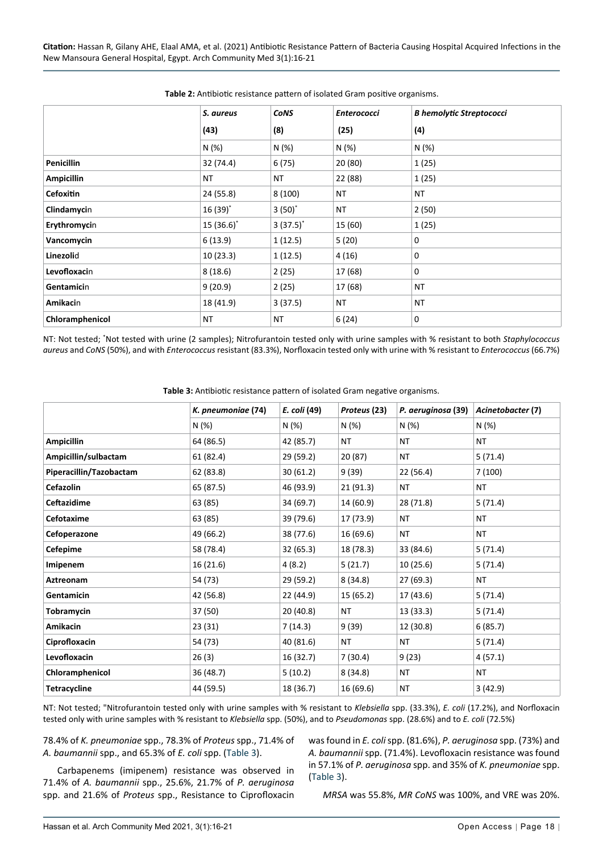|                   | S. aureus    | <b>CONS</b>   | <b>Enterococci</b> | <b>B hemolytic Streptococci</b> |
|-------------------|--------------|---------------|--------------------|---------------------------------|
|                   |              |               |                    |                                 |
|                   | (43)         | (8)           | (25)               | (4)                             |
|                   | N(%)         | N(%)          | N(%)               | N(%)                            |
| <b>Penicillin</b> | 32 (74.4)    | 6(75)         | 20 (80)            | 1(25)                           |
| <b>Ampicillin</b> | <b>NT</b>    | <b>NT</b>     | 22 (88)            | 1(25)                           |
| <b>Cefoxitin</b>  | 24 (55.8)    | 8(100)        | <b>NT</b>          | <b>NT</b>                       |
| Clindamycin       | $16(39)^*$   | $3(50)^{*}$   | NT                 | 2(50)                           |
| Erythromycin      | $15(36.6)^*$ | $3(37.5)^{*}$ | 15 (60)            | 1(25)                           |
| Vancomycin        | 6(13.9)      | 1(12.5)       | 5(20)              | 0                               |
| Linezolid         | 10(23.3)     | 1(12.5)       | 4(16)              | 0                               |
| Levofloxacin      | 8(18.6)      | 2(25)         | 17 (68)            | $\mathbf 0$                     |
| Gentamicin        | 9(20.9)      | 2(25)         | 17 (68)            | NT                              |
| Amikacin          | 18 (41.9)    | 3(37.5)       | <b>NT</b>          | ΝT                              |
| Chloramphenicol   | <b>NT</b>    | <b>NT</b>     | 6(24)              | $\mathbf 0$                     |

<span id="page-2-0"></span>**Table 2:** Antibiotic resistance pattern of isolated Gram positive organisms.

NT: Not tested; 'Not tested with urine (2 samples); Nitrofurantoin tested only with urine samples with % resistant to both Staphylococcus *aureus* and *CoNS* (50%), and with *Enterococcus* resistant (83.3%), Norfloxacin tested only with urine with % resistant to *Enterococcus* (66.7%)

<span id="page-2-1"></span>**Table 3:** Antibiotic resistance pattern of isolated Gram negative organisms.

|                         | K. pneumoniae (74) | E. coli (49) | Proteus (23) | P. aeruginosa (39) | Acinetobacter (7) |
|-------------------------|--------------------|--------------|--------------|--------------------|-------------------|
|                         | N (%)              | N (%)        | N (%)        | N (%)              | N (%)             |
| <b>Ampicillin</b>       | 64 (86.5)          | 42 (85.7)    | NT           | ΝT                 | <b>NT</b>         |
| Ampicillin/sulbactam    | 61 (82.4)          | 29 (59.2)    | 20 (87)      | NT                 | 5(71.4)           |
| Piperacillin/Tazobactam | 62 (83.8)          | 30(61.2)     | 9(39)        | 22 (56.4)          | 7(100)            |
| Cefazolin               | 65 (87.5)          | 46 (93.9)    | 21 (91.3)    | NT                 | NT                |
| Ceftazidime             | 63 (85)            | 34 (69.7)    | 14 (60.9)    | 28 (71.8)          | 5(71.4)           |
| Cefotaxime              | 63 (85)            | 39 (79.6)    | 17 (73.9)    | ΝT                 | ΝT                |
| Cefoperazone            | 49 (66.2)          | 38 (77.6)    | 16 (69.6)    | <b>NT</b>          | <b>NT</b>         |
| <b>Cefepime</b>         | 58 (78.4)          | 32(65.3)     | 18 (78.3)    | 33 (84.6)          | 5(71.4)           |
| Imipenem                | 16 (21.6)          | 4(8.2)       | 5(21.7)      | 10(25.6)           | 5(71.4)           |
| Aztreonam               | 54 (73)            | 29 (59.2)    | 8(34.8)      | 27 (69.3)          | ΝT                |
| Gentamicin              | 42 (56.8)          | 22 (44.9)    | 15 (65.2)    | 17 (43.6)          | 5(71.4)           |
| <b>Tobramycin</b>       | 37 (50)            | 20 (40.8)    | NT           | 13 (33.3)          | 5(71.4)           |
| Amikacin                | 23 (31)            | 7 (14.3)     | 9(39)        | 12 (30.8)          | 6(85.7)           |
| Ciprofloxacin           | 54 (73)            | 40 (81.6)    | NT           | ΝT                 | 5(71.4)           |
| Levofloxacin            | 26(3)              | 16 (32.7)    | 7(30.4)      | 9(23)              | 4(57.1)           |
| Chloramphenicol         | 36 (48.7)          | 5(10.2)      | 8(34.8)      | NT                 | NT                |
| <b>Tetracycline</b>     | 44 (59.5)          | 18 (36.7)    | 16 (69.6)    | NT                 | 3(42.9)           |

NT: Not tested; "Nitrofurantoin tested only with urine samples with % resistant to *Klebsiella* spp. (33.3%), *E. coli* (17.2%), and Norfloxacin tested only with urine samples with % resistant to *Klebsiella* spp. (50%), and to *Pseudomonas* spp. (28.6%) and to *E. coli* (72.5%)

78.4% of *K. pneumoniae* spp., 78.3% of *Proteus* spp., 71.4% of *A. baumannii* spp., and 65.3% of *E. coli* spp. ([Table 3](#page-2-1)).

Carbapenems (imipenem) resistance was observed in 71.4% of *A. baumannii* spp., 25.6%, 21.7% of *P. aeruginosa* spp. and 21.6% of *Proteus* spp., Resistance to Ciprofloxacin

was found in *E. coli* spp. (81.6%), *P. aeruginosa* spp. (73%) and *A. baumannii* spp. (71.4%). Levofloxacin resistance was found in 57.1% of *P. aeruginosa* spp. and 35% of *K. pneumoniae* spp. ([Table 3](#page-2-1)).

*MRSA* was 55.8%, *MR CoNS* was 100%, and VRE was 20%.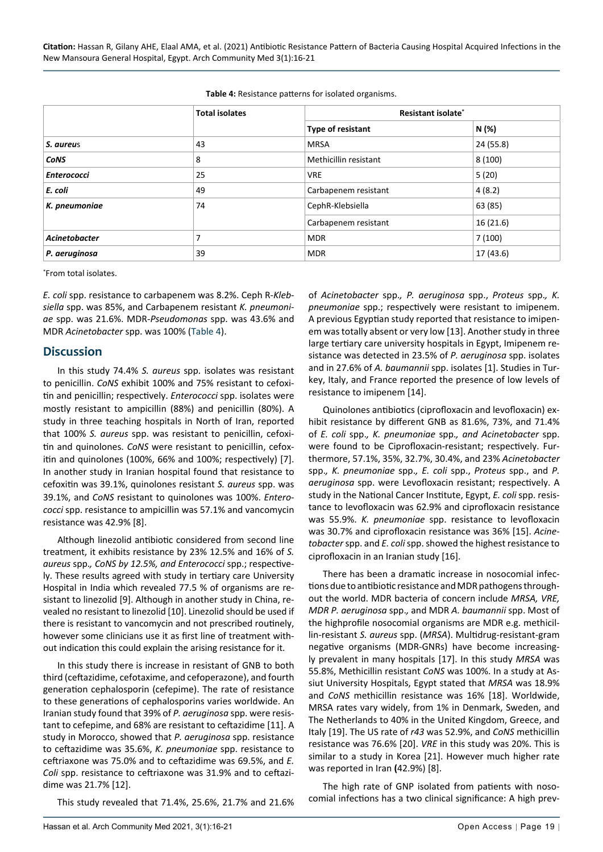|                    | <b>Total isolates</b> | Resistant isolate*    |           |  |
|--------------------|-----------------------|-----------------------|-----------|--|
|                    |                       | Type of resistant     | N (%)     |  |
| S. aureus          | 43                    | <b>MRSA</b>           | 24 (55.8) |  |
| <b>CONS</b>        | 8                     | Methicillin resistant | 8(100)    |  |
| <b>Enterococci</b> | 25                    | <b>VRE</b>            | 5(20)     |  |
| E. coli            | 49                    | Carbapenem resistant  | 4(8.2)    |  |
| K. pneumoniae      | 74                    | CephR-Klebsiella      | 63 (85)   |  |
|                    |                       | Carbapenem resistant  | 16 (21.6) |  |
| Acinetobacter      | 7                     | <b>MDR</b>            | 7(100)    |  |
| P. aeruginosa      | 39                    | <b>MDR</b>            | 17 (43.6) |  |

<span id="page-3-0"></span>**Table 4:** Resistance patterns for isolated organisms.

\* From total isolates.

*E. coli* spp. resistance to carbapenem was 8.2%. Ceph R-*Klebsiella* spp. was 85%, and Carbapenem resistant *K. pneumoniae* spp. was 21.6%. MDR-*Pseudomonas* spp. was 43.6% and MDR *Acinetobacter* spp. was 100% ([Table 4](#page-3-0)).

#### **Discussion**

In this study 74.4% *S. aureus* spp. isolates was resistant to penicillin. *CoNS* exhibit 100% and 75% resistant to cefoxitin and penicillin; respectively. *Enterococci* spp. isolates were mostly resistant to ampicillin (88%) and penicillin (80%). A study in three teaching hospitals in North of Iran, reported that 100% *S. aureus* spp. was resistant to penicillin, cefoxitin and quinolones. *CoNS* were resistant to penicillin, cefoxitin and quinolones (100%, 66% and 100%; respectively) [7]. In another study in Iranian hospital found that resistance to cefoxitin was 39.1%, quinolones resistant *S. aureus* spp. was 39.1%, and *CoNS* resistant to quinolones was 100%. *Enterococci* spp. resistance to ampicillin was 57.1% and vancomycin resistance was 42.9% [8].

Although linezolid antibiotic considered from second line treatment, it exhibits resistance by 23% 12.5% and 16% of *S. aureus* spp.*, CoNS by 12.5%, and Enterococci* spp.; respectively. These results agreed with study in tertiary care University Hospital in India which revealed 77.5 % of organisms are resistant to linezolid [9]. Although in another study in China, revealed no resistant to linezolid [10]. Linezolid should be used if there is resistant to vancomycin and not prescribed routinely, however some clinicians use it as first line of treatment without indication this could explain the arising resistance for it.

In this study there is increase in resistant of GNB to both third (ceftazidime, cefotaxime, and cefoperazone), and fourth generation cephalosporin (cefepime). The rate of resistance to these generations of cephalosporins varies worldwide. An Iranian study found that 39% of *P. aeruginosa* spp. were resistant to cefepime, and 68% are resistant to ceftazidime [11]. A study in Morocco, showed that *P. aeruginosa* spp. resistance to ceftazidime was 35.6%, *K. pneumoniae* spp. resistance to ceftriaxone was 75.0% and to ceftazidime was 69.5%, and *E. Coli* spp. resistance to ceftriaxone was 31.9% and to ceftazidime was 21.7% [12].

This study revealed that 71.4%, 25.6%, 21.7% and 21.6%

of *Acinetobacter* spp.*, P. aeruginosa* spp., *Proteus* spp.*, K. pneumoniae* spp.; respectively were resistant to imipenem. A previous Egyptian study reported that resistance to imipenem was totally absent or very low [13]. Another study in three large tertiary care university hospitals in Egypt, Imipenem resistance was detected in 23.5% of *P. aeruginosa* spp. isolates and in 27.6% of *A. baumannii* spp. isolates [1]. Studies in Turkey, Italy, and France reported the presence of low levels of resistance to imipenem [14].

Quinolones antibiotics (ciprofloxacin and levofloxacin) exhibit resistance by different GNB as 81.6%, 73%, and 71.4% of *E. coli* spp.*, K. pneumoniae* spp.*, and Acinetobacter* spp. were found to be Ciprofloxacin-resistant; respectively. Furthermore, 57.1%, 35%, 32.7%, 30.4%, and 23% *Acinetobacter*  spp.*, K. pneumoniae* spp.*, E. coli* spp., *Proteus* spp., and *P. aeruginosa* spp. were Levofloxacin resistant; respectively. A study in the National Cancer Institute, Egypt, *E. coli* spp. resistance to levofloxacin was 62.9% and ciprofloxacin resistance was 55.9%. *K. pneumoniae* spp. resistance to levofloxacin was 30.7% and ciprofloxacin resistance was 36% [15]. *Acinetobacter* spp. and *E. coli* spp. showed the highest resistance to ciprofloxacin in an Iranian study [16].

There has been a dramatic increase in nosocomial infections due to antibiotic resistance and MDR pathogens throughout the world. MDR bacteria of concern include *MRSA, VRE, MDR P. aeruginosa* spp.*,* and MDR *A. baumannii* spp. Most of the highprofile nosocomial organisms are MDR e.g. methicillin-resistant *S. aureus* spp. (*MRSA*). Multidrug-resistant-gram negative organisms (MDR-GNRs) have become increasingly prevalent in many hospitals [17]. In this study *MRSA* was 55.8%, Methicillin resistant *CoNS* was 100%. In a study at Assiut University Hospitals, Egypt stated that *MRSA* was 18.9% and *CoNS* methicillin resistance was 16% [18]. Worldwide, MRSA rates vary widely, from 1% in Denmark, Sweden, and The Netherlands to 40% in the United Kingdom, Greece, and Italy [19]. The US rate of *r43* was 52.9%, and *CoNS* methicillin resistance was 76.6% [20]. *VRE* in this study was 20%. This is similar to a study in Korea [21]. However much higher rate was reported in Iran **(**42.9%) [8].

The high rate of GNP isolated from patients with nosocomial infections has a two clinical significance: A high prev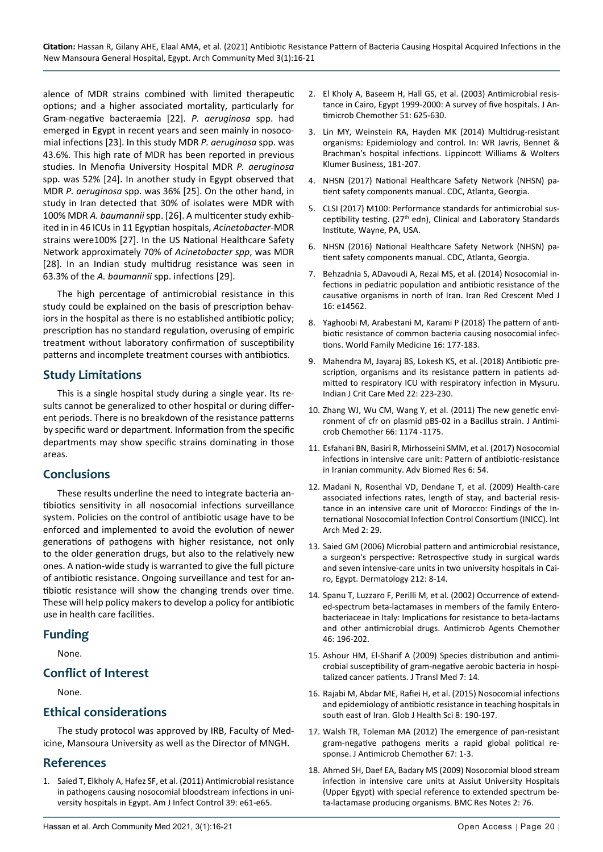alence of MDR strains combined with limited therapeutic options; and a higher associated mortality, particularly for Gram-negative bacteraemia [22]. *P. aeruginosa* spp. had emerged in Egypt in recent years and seen mainly in nosocomial infections [23]. In this study MDR *P. aeruginosa* spp. was 43.6%. This high rate of MDR has been reported in previous studies. In Menofia University Hospital MDR *P. aeruginosa*  spp. was 52% [24]. In another study in Egypt observed that MDR *P. aeruginosa* spp. was 36% [25]. On the other hand, in study in Iran detected that 30% of isolates were MDR with 100% MDR *A. baumannii* spp. [26]. A multicenter study exhibited in in 46 ICUs in 11 Egyptian hospitals, *Acinetobacter*-MDR strains were100% [27]. In the US National Healthcare Safety Network approximately 70% of *Acinetobacter spp*, was MDR [28]. In an Indian study multidrug resistance was seen in 63.3% of the *A. baumannii* spp. infections [29].

The high percentage of antimicrobial resistance in this study could be explained on the basis of prescription behaviors in the hospital as there is no established antibiotic policy; prescription has no standard regulation, overusing of empiric treatment without laboratory confirmation of susceptibility patterns and incomplete treatment courses with antibiotics.

### **Study Limitations**

This is a single hospital study during a single year. Its results cannot be generalized to other hospital or during different periods. There is no breakdown of the resistance patterns by specific ward or department. Information from the specific departments may show specific strains dominating in those areas.

#### **Conclusions**

These results underline the need to integrate bacteria antibiotics sensitivity in all nosocomial infections surveillance system. Policies on the control of antibiotic usage have to be enforced and implemented to avoid the evolution of newer generations of pathogens with higher resistance, not only to the older generation drugs, but also to the relatively new ones. A nation-wide study is warranted to give the full picture of antibiotic resistance. Ongoing surveillance and test for antibiotic resistance will show the changing trends over time. These will help policy makers to develop a policy for antibiotic use in health care facilities.

### **Funding**

None.

### **Conflict of Interest**

None.

### **Ethical considerations**

The study protocol was approved by IRB, Faculty of Medicine, Mansoura University as well as the Director of MNGH.

### **References**

1. [Saied T, Elkholy A, Hafez SF, et al. \(2011\) Antimicrobial resistance](https://pubmed.ncbi.nlm.nih.gov/21835504/)  [in pathogens causing nosocomial bloodstream infections in uni](https://pubmed.ncbi.nlm.nih.gov/21835504/)[versity hospitals in Egypt. Am J Infect Control 39: e61-e65.](https://pubmed.ncbi.nlm.nih.gov/21835504/)

- 2. [El Kholy A, Baseem H, Hall GS, et al. \(2003\) Antimicrobial resis](https://pubmed.ncbi.nlm.nih.gov/12615864/)[tance in Cairo, Egypt 1999-2000: A survey of five hospitals. J An](https://pubmed.ncbi.nlm.nih.gov/12615864/)[timicrob Chemother 51: 625-630.](https://pubmed.ncbi.nlm.nih.gov/12615864/)
- 3. Lin MY, Weinstein RA, Hayden MK (2014) Multidrug-resistant organisms: Epidemiology and control. In: WR Javris, Bennet & Brachman's hospital infections. Lippincott Williams & Wolters Klumer Business, 181-207.
- 4. NHSN (2017) National Healthcare Safety Network (NHSN) patient safety components manual. CDC, Atlanta, Georgia.
- 5. [CLSI \(2017\) M100: Performance standards for antimicrobial sus](http://www.iacld.ir/DL/public/96/CLSI-2017.pdf)ceptibility testing. (27<sup>th</sup> edn), Clinical and Laboratory Standards [Institute, Wayne, PA, USA.](http://www.iacld.ir/DL/public/96/CLSI-2017.pdf)
- 6. NHSN (2016) National Healthcare Safety Network (NHSN) patient safety components manual. CDC, Atlanta, Georgia.
- 7. [Behzadnia S, ADavoudi A, Rezai MS, et al. \(2014\) Nosocomial in](https://pubmed.ncbi.nlm.nih.gov/24719744/)[fections in pediatric population and antibiotic resistance of the](https://pubmed.ncbi.nlm.nih.gov/24719744/)  [causative organisms in north of Iran. Iran Red Crescent Med J](https://pubmed.ncbi.nlm.nih.gov/24719744/)  [16: e14562.](https://pubmed.ncbi.nlm.nih.gov/24719744/)
- 8. Yaghoobi M, Arabestani M, Karami P (2018) The pattern of antibiotic resistance of common bacteria causing nosocomial infections. World Family Medicine 16: 177-183.
- 9. [Mahendra M, Jayaraj BS, Lokesh KS, et al. \(2018\) Antibiotic pre](https://pubmed.ncbi.nlm.nih.gov/29743760/)[scription, organisms and its resistance pattern in patients ad](https://pubmed.ncbi.nlm.nih.gov/29743760/)[mitted to respiratory ICU with respiratory infection in Mysuru.](https://pubmed.ncbi.nlm.nih.gov/29743760/)  [Indian J Crit Care Med 22: 223-230.](https://pubmed.ncbi.nlm.nih.gov/29743760/)
- 10. [Zhang WJ, Wu CM, Wang Y, et al. \(2011\) The new genetic envi](https://pubmed.ncbi.nlm.nih.gov/21393171/)[ronment of cfr on plasmid pBS-02 in a Bacillus strain. J Antimi](https://pubmed.ncbi.nlm.nih.gov/21393171/)[crob Chemother 66: 1174 -1175.](https://pubmed.ncbi.nlm.nih.gov/21393171/)
- 11. [Esfahani BN, Basiri R, Mirhosseini SMM, et al. \(2017\) Nosocomial](https://pubmed.ncbi.nlm.nih.gov/28553627/)  [infections in intensive care unit: Pattern of antibiotic-resistance](https://pubmed.ncbi.nlm.nih.gov/28553627/)  [in Iranian community. Adv Biomed Res 6: 54.](https://pubmed.ncbi.nlm.nih.gov/28553627/)
- 12. [Madani N, Rosenthal VD, Dendane T, et al. \(2009\) Health-care](https://pubmed.ncbi.nlm.nih.gov/19811636/)  [associated infections rates, length of stay, and bacterial resis](https://pubmed.ncbi.nlm.nih.gov/19811636/)[tance in an intensive care unit of Morocco: Findings of the In](https://pubmed.ncbi.nlm.nih.gov/19811636/)[ternational Nosocomial Infection Control Consortium \(INICC\). Int](https://pubmed.ncbi.nlm.nih.gov/19811636/)  [Arch Med 2: 29.](https://pubmed.ncbi.nlm.nih.gov/19811636/)
- 13. [Saied GM \(2006\) Microbial pattern and antimicrobial resistance,](https://pubmed.ncbi.nlm.nih.gov/16490969/)  [a surgeon's perspective: Retrospective study in surgical wards](https://pubmed.ncbi.nlm.nih.gov/16490969/)  [and seven intensive-care units in two university hospitals in Cai](https://pubmed.ncbi.nlm.nih.gov/16490969/)[ro, Egypt. Dermatology 212: 8-14.](https://pubmed.ncbi.nlm.nih.gov/16490969/)
- 14. [Spanu T, Luzzaro F, Perilli M, et al. \(2002\) Occurrence of extend](https://pubmed.ncbi.nlm.nih.gov/11751134/)[ed-spectrum beta-lactamases in members of the family Entero](https://pubmed.ncbi.nlm.nih.gov/11751134/)[bacteriaceae in Italy: Implications for resistance to beta-lactams](https://pubmed.ncbi.nlm.nih.gov/11751134/)  [and other antimicrobial drugs. Antimicrob Agents Chemother](https://pubmed.ncbi.nlm.nih.gov/11751134/)  [46: 196-202.](https://pubmed.ncbi.nlm.nih.gov/11751134/)
- 15. [Ashour HM, El-Sharif A \(2009\) Species distribution and antimi](https://pubmed.ncbi.nlm.nih.gov/19228413/)[crobial susceptibility of gram-negative aerobic bacteria in hospi](https://pubmed.ncbi.nlm.nih.gov/19228413/)[talized cancer patients. J Transl Med 7: 14.](https://pubmed.ncbi.nlm.nih.gov/19228413/)
- 16. [Rajabi M, Abdar ME, Rafiei H, et al. \(2015\) Nosocomial infections](https://pubmed.ncbi.nlm.nih.gov/26383222/)  [and epidemiology of antibiotic resistance in teaching hospitals in](https://pubmed.ncbi.nlm.nih.gov/26383222/)  [south east of Iran. Glob J Health Sci 8: 190-197.](https://pubmed.ncbi.nlm.nih.gov/26383222/)
- 17. [Walsh TR, Toleman MA \(2012\) The emergence of pan-resistant](https://pubmed.ncbi.nlm.nih.gov/21994911/)  [gram-negative pathogens merits a rapid global political re](https://pubmed.ncbi.nlm.nih.gov/21994911/)[sponse. J Antimicrob Chemother 67: 1-3.](https://pubmed.ncbi.nlm.nih.gov/21994911/)
- 18. [Ahmed SH, Daef EA, Badary MS \(2009\) Nosocomial blood stream](https://pubmed.ncbi.nlm.nih.gov/19419535/)  [infection in intensive care units at Assiut University Hospitals](https://pubmed.ncbi.nlm.nih.gov/19419535/)  [\(Upper Egypt\) with special reference to extended spectrum be](https://pubmed.ncbi.nlm.nih.gov/19419535/)[ta-lactamase producing organisms. BMC Res Notes 2: 76.](https://pubmed.ncbi.nlm.nih.gov/19419535/)